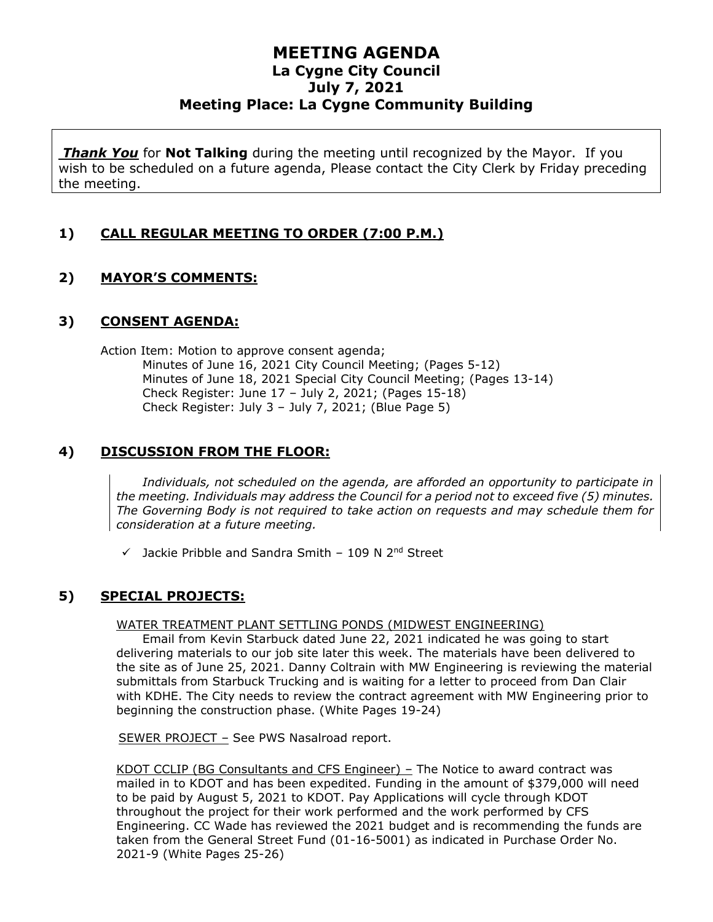*Thank You* for **Not Talking** during the meeting until recognized by the Mayor. If you wish to be scheduled on a future agenda, Please contact the City Clerk by Friday preceding the meeting.

#### **1) CALL REGULAR MEETING TO ORDER (7:00 P.M.)**

### **2) MAYOR'S COMMENTS:**

#### **3) CONSENT AGENDA:**

Action Item: Motion to approve consent agenda; Minutes of June 16, 2021 City Council Meeting; (Pages 5-12) Minutes of June 18, 2021 Special City Council Meeting; (Pages 13-14) Check Register: June  $17 -$  July 2, 2021; (Pages  $15-18$ ) Check Register: July 3 – July 7, 2021; (Blue Page 5)

#### **4) DISCUSSION FROM THE FLOOR:**

*Individuals, not scheduled on the agenda, are afforded an opportunity to participate in the meeting. Individuals may address the Council for a period not to exceed five (5) minutes. The Governing Body is not required to take action on requests and may schedule them for consideration at a future meeting.*

 $\checkmark$  Jackie Pribble and Sandra Smith - 109 N 2<sup>nd</sup> Street

#### **5) SPECIAL PROJECTS:**

#### WATER TREATMENT PLANT SETTLING PONDS (MIDWEST ENGINEERING)

Email from Kevin Starbuck dated June 22, 2021 indicated he was going to start delivering materials to our job site later this week. The materials have been delivered to the site as of June 25, 2021. Danny Coltrain with MW Engineering is reviewing the material submittals from Starbuck Trucking and is waiting for a letter to proceed from Dan Clair with KDHE. The City needs to review the contract agreement with MW Engineering prior to beginning the construction phase. (White Pages 19-24)

SEWER PROJECT – See PWS Nasalroad report.

KDOT CCLIP (BG Consultants and CFS Engineer) – The Notice to award contract was mailed in to KDOT and has been expedited. Funding in the amount of \$379,000 will need to be paid by August 5, 2021 to KDOT. Pay Applications will cycle through KDOT throughout the project for their work performed and the work performed by CFS Engineering. CC Wade has reviewed the 2021 budget and is recommending the funds are taken from the General Street Fund (01-16-5001) as indicated in Purchase Order No. 2021-9 (White Pages 25-26)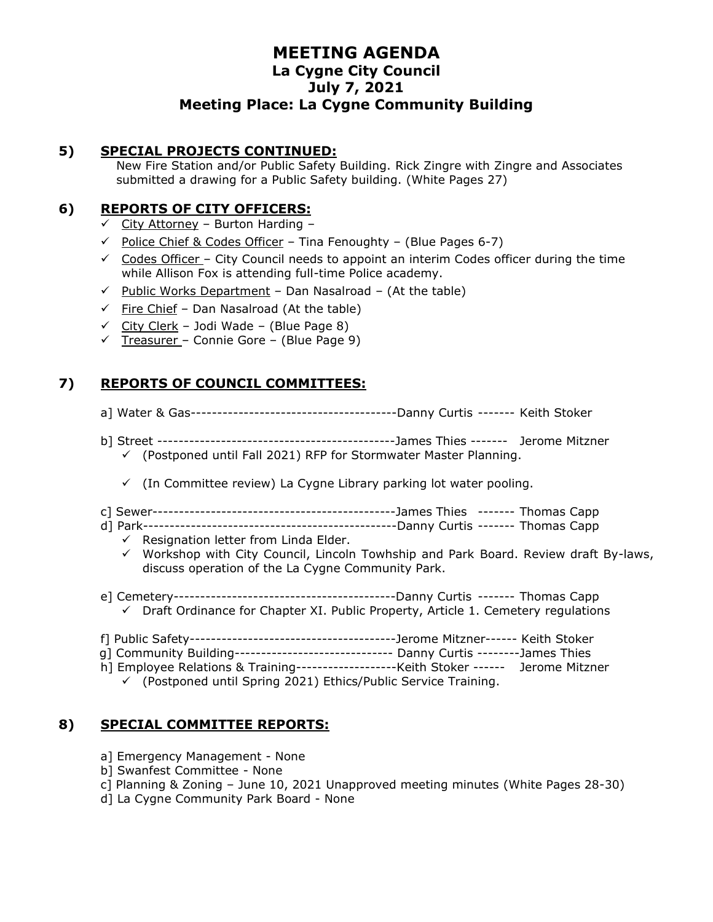#### **5) SPECIAL PROJECTS CONTINUED:**

New Fire Station and/or Public Safety Building. Rick Zingre with Zingre and Associates submitted a drawing for a Public Safety building. (White Pages 27)

### **6) REPORTS OF CITY OFFICERS:**

- $\checkmark$  City Attorney Burton Harding –
- $\checkmark$  Police Chief & Codes Officer Tina Fenoughty (Blue Pages 6-7)
- $\checkmark$  Codes Officer City Council needs to appoint an interim Codes officer during the time while Allison Fox is attending full-time Police academy.
- $\checkmark$  Public Works Department Dan Nasalroad (At the table)
- $\checkmark$  Fire Chief Dan Nasalroad (At the table)
- $\checkmark$  City Clerk Jodi Wade (Blue Page 8)
- $\checkmark$  Treasurer Connie Gore (Blue Page 9)

# **7) REPORTS OF COUNCIL COMMITTEES:**

- a] Water & Gas---------------------------------------Danny Curtis ------- Keith Stoker
- b] Street ---------------------------------------------James Thies ------- Jerome Mitzner ✓ (Postponed until Fall 2021) RFP for Stormwater Master Planning.
	- $\checkmark$  (In Committee review) La Cygne Library parking lot water pooling.
- c] Sewer----------------------------------------------James Thies ------- Thomas Capp
- d] Park------------------------------------------------Danny Curtis ------- Thomas Capp
	- $\checkmark$  Resignation letter from Linda Elder.
	- $\checkmark$  Workshop with City Council, Lincoln Towhship and Park Board. Review draft By-laws, discuss operation of the La Cygne Community Park.
- e] Cemetery------------------------------------------Danny Curtis ------- Thomas Capp  $\checkmark$  Draft Ordinance for Chapter XI. Public Property, Article 1. Cemetery regulations
- f] Public Safety---------------------------------------Jerome Mitzner------ Keith Stoker
- g] Community Building------------------------------ Danny Curtis --------James Thies
- h] Employee Relations & Training-------------------Keith Stoker ------ Jerome Mitzner
	- ✓ (Postponed until Spring 2021) Ethics/Public Service Training.

### **8) SPECIAL COMMITTEE REPORTS:**

- a] Emergency Management None
- b] Swanfest Committee None
- c] Planning & Zoning June 10, 2021 Unapproved meeting minutes (White Pages 28-30)
- d] La Cygne Community Park Board None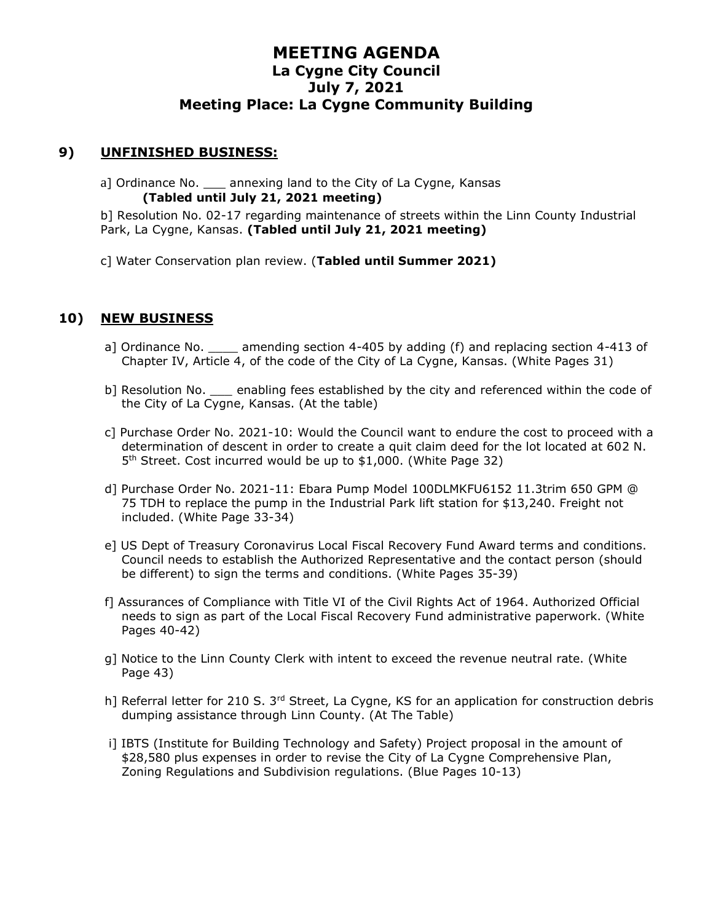#### **9) UNFINISHED BUSINESS:**

a] Ordinance No. \_\_\_ annexing land to the City of La Cygne, Kansas **(Tabled until July 21, 2021 meeting)**

b] Resolution No. 02-17 regarding maintenance of streets within the Linn County Industrial Park, La Cygne, Kansas. **(Tabled until July 21, 2021 meeting)**

c] Water Conservation plan review. (**Tabled until Summer 2021)**

#### **10) NEW BUSINESS**

- a] Ordinance No. \_\_\_\_ amending section 4-405 by adding (f) and replacing section 4-413 of Chapter IV, Article 4, of the code of the City of La Cygne, Kansas. (White Pages 31)
- b] Resolution No. \_\_\_ enabling fees established by the city and referenced within the code of the City of La Cygne, Kansas. (At the table)
- c] Purchase Order No. 2021-10: Would the Council want to endure the cost to proceed with a determination of descent in order to create a quit claim deed for the lot located at 602 N. 5 th Street. Cost incurred would be up to \$1,000. (White Page 32)
- d] Purchase Order No. 2021-11: Ebara Pump Model 100DLMKFU6152 11.3trim 650 GPM @ 75 TDH to replace the pump in the Industrial Park lift station for \$13,240. Freight not included. (White Page 33-34)
- e] US Dept of Treasury Coronavirus Local Fiscal Recovery Fund Award terms and conditions. Council needs to establish the Authorized Representative and the contact person (should be different) to sign the terms and conditions. (White Pages 35-39)
- f] Assurances of Compliance with Title VI of the Civil Rights Act of 1964. Authorized Official needs to sign as part of the Local Fiscal Recovery Fund administrative paperwork. (White Pages 40-42)
- g] Notice to the Linn County Clerk with intent to exceed the revenue neutral rate. (White Page 43)
- h] Referral letter for 210 S. 3<sup>rd</sup> Street, La Cygne, KS for an application for construction debris dumping assistance through Linn County. (At The Table)
- i] IBTS (Institute for Building Technology and Safety) Project proposal in the amount of \$28,580 plus expenses in order to revise the City of La Cygne Comprehensive Plan, Zoning Regulations and Subdivision regulations. (Blue Pages 10-13)